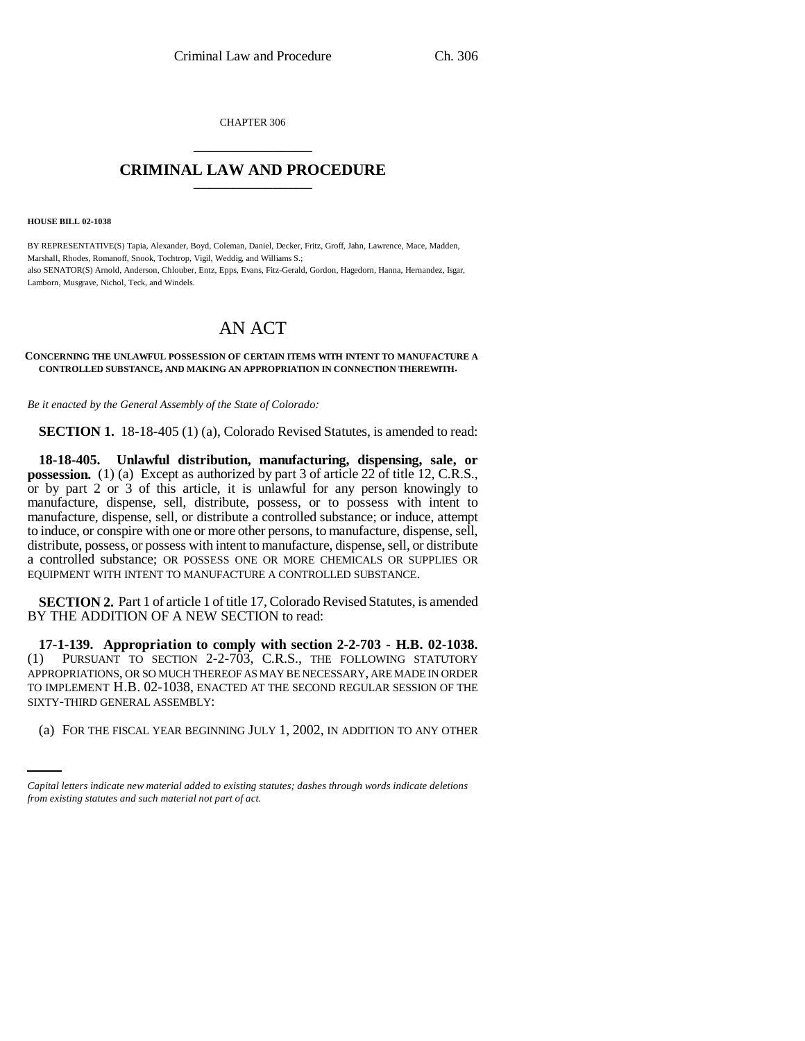CHAPTER 306 \_\_\_\_\_\_\_\_\_\_\_\_\_\_\_

## **CRIMINAL LAW AND PROCEDURE** \_\_\_\_\_\_\_\_\_\_\_\_\_\_\_

**HOUSE BILL 02-1038**

BY REPRESENTATIVE(S) Tapia, Alexander, Boyd, Coleman, Daniel, Decker, Fritz, Groff, Jahn, Lawrence, Mace, Madden, Marshall, Rhodes, Romanoff, Snook, Tochtrop, Vigil, Weddig, and Williams S.; also SENATOR(S) Arnold, Anderson, Chlouber, Entz, Epps, Evans, Fitz-Gerald, Gordon, Hagedorn, Hanna, Hernandez, Isgar, Lamborn, Musgrave, Nichol, Teck, and Windels.

# AN ACT

#### **CONCERNING THE UNLAWFUL POSSESSION OF CERTAIN ITEMS WITH INTENT TO MANUFACTURE A CONTROLLED SUBSTANCE, AND MAKING AN APPROPRIATION IN CONNECTION THEREWITH.**

*Be it enacted by the General Assembly of the State of Colorado:*

**SECTION 1.** 18-18-405 (1) (a), Colorado Revised Statutes, is amended to read:

**18-18-405. Unlawful distribution, manufacturing, dispensing, sale, or possession.** (1) (a) Except as authorized by part 3 of article 22 of title 12, C.R.S., or by part 2 or 3 of this article, it is unlawful for any person knowingly to manufacture, dispense, sell, distribute, possess, or to possess with intent to manufacture, dispense, sell, or distribute a controlled substance; or induce, attempt to induce, or conspire with one or more other persons, to manufacture, dispense, sell, distribute, possess, or possess with intent to manufacture, dispense, sell, or distribute a controlled substance; OR POSSESS ONE OR MORE CHEMICALS OR SUPPLIES OR EQUIPMENT WITH INTENT TO MANUFACTURE A CONTROLLED SUBSTANCE.

**SECTION 2.** Part 1 of article 1 of title 17, Colorado Revised Statutes, is amended BY THE ADDITION OF A NEW SECTION to read:

SIXTY-THIRD GENERAL ASSEMBLY: **17-1-139. Appropriation to comply with section 2-2-703 - H.B. 02-1038.** (1) PURSUANT TO SECTION 2-2-703, C.R.S., THE FOLLOWING STATUTORY APPROPRIATIONS, OR SO MUCH THEREOF AS MAY BE NECESSARY, ARE MADE IN ORDER TO IMPLEMENT H.B. 02-1038, ENACTED AT THE SECOND REGULAR SESSION OF THE

(a) FOR THE FISCAL YEAR BEGINNING JULY 1, 2002, IN ADDITION TO ANY OTHER

*Capital letters indicate new material added to existing statutes; dashes through words indicate deletions from existing statutes and such material not part of act.*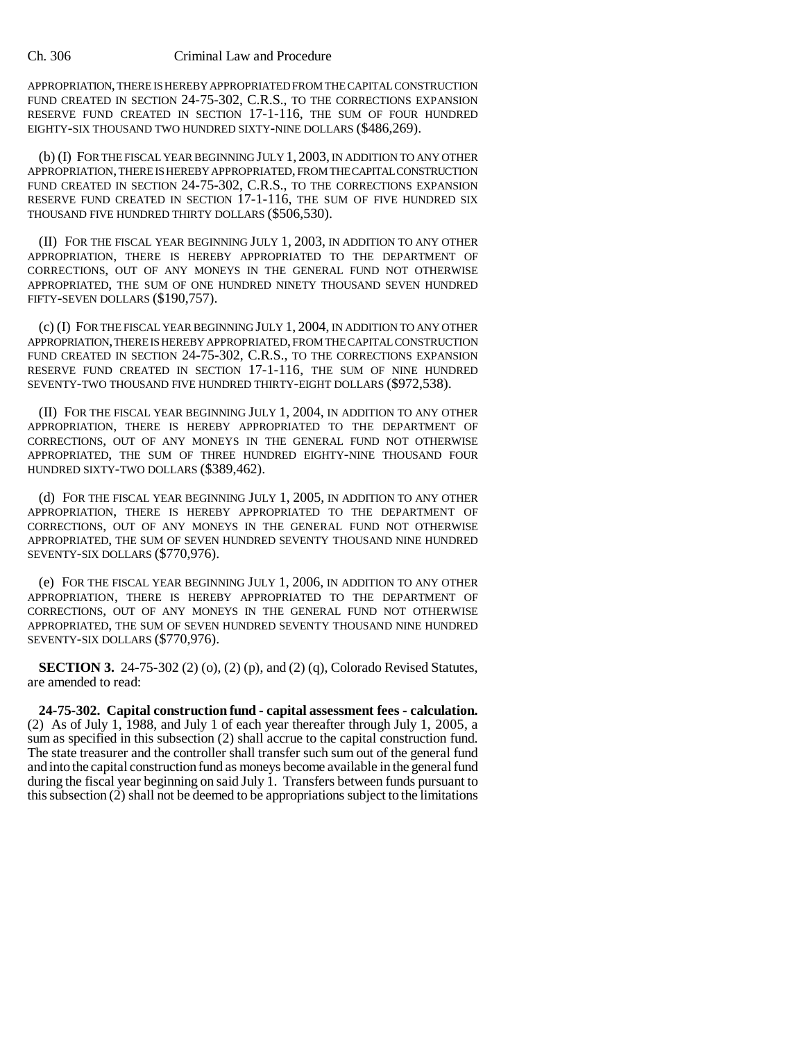#### Ch. 306 Criminal Law and Procedure

APPROPRIATION, THERE IS HEREBY APPROPRIATED FROM THE CAPITAL CONSTRUCTION FUND CREATED IN SECTION 24-75-302, C.R.S., TO THE CORRECTIONS EXPANSION RESERVE FUND CREATED IN SECTION 17-1-116, THE SUM OF FOUR HUNDRED EIGHTY-SIX THOUSAND TWO HUNDRED SIXTY-NINE DOLLARS (\$486,269).

(b) (I) FOR THE FISCAL YEAR BEGINNING JULY 1, 2003, IN ADDITION TO ANY OTHER APPROPRIATION, THERE IS HEREBY APPROPRIATED, FROM THE CAPITAL CONSTRUCTION FUND CREATED IN SECTION 24-75-302, C.R.S., TO THE CORRECTIONS EXPANSION RESERVE FUND CREATED IN SECTION 17-1-116, THE SUM OF FIVE HUNDRED SIX THOUSAND FIVE HUNDRED THIRTY DOLLARS (\$506,530).

(II) FOR THE FISCAL YEAR BEGINNING JULY 1, 2003, IN ADDITION TO ANY OTHER APPROPRIATION, THERE IS HEREBY APPROPRIATED TO THE DEPARTMENT OF CORRECTIONS, OUT OF ANY MONEYS IN THE GENERAL FUND NOT OTHERWISE APPROPRIATED, THE SUM OF ONE HUNDRED NINETY THOUSAND SEVEN HUNDRED FIFTY-SEVEN DOLLARS (\$190,757).

(c) (I) FOR THE FISCAL YEAR BEGINNING JULY 1, 2004, IN ADDITION TO ANY OTHER APPROPRIATION, THERE IS HEREBY APPROPRIATED, FROM THE CAPITAL CONSTRUCTION FUND CREATED IN SECTION 24-75-302, C.R.S., TO THE CORRECTIONS EXPANSION RESERVE FUND CREATED IN SECTION 17-1-116, THE SUM OF NINE HUNDRED SEVENTY-TWO THOUSAND FIVE HUNDRED THIRTY-EIGHT DOLLARS (\$972,538).

(II) FOR THE FISCAL YEAR BEGINNING JULY 1, 2004, IN ADDITION TO ANY OTHER APPROPRIATION, THERE IS HEREBY APPROPRIATED TO THE DEPARTMENT OF CORRECTIONS, OUT OF ANY MONEYS IN THE GENERAL FUND NOT OTHERWISE APPROPRIATED, THE SUM OF THREE HUNDRED EIGHTY-NINE THOUSAND FOUR HUNDRED SIXTY-TWO DOLLARS (\$389,462).

(d) FOR THE FISCAL YEAR BEGINNING JULY 1, 2005, IN ADDITION TO ANY OTHER APPROPRIATION, THERE IS HEREBY APPROPRIATED TO THE DEPARTMENT OF CORRECTIONS, OUT OF ANY MONEYS IN THE GENERAL FUND NOT OTHERWISE APPROPRIATED, THE SUM OF SEVEN HUNDRED SEVENTY THOUSAND NINE HUNDRED SEVENTY-SIX DOLLARS (\$770,976).

(e) FOR THE FISCAL YEAR BEGINNING JULY 1, 2006, IN ADDITION TO ANY OTHER APPROPRIATION, THERE IS HEREBY APPROPRIATED TO THE DEPARTMENT OF CORRECTIONS, OUT OF ANY MONEYS IN THE GENERAL FUND NOT OTHERWISE APPROPRIATED, THE SUM OF SEVEN HUNDRED SEVENTY THOUSAND NINE HUNDRED SEVENTY-SIX DOLLARS (\$770,976).

**SECTION 3.** 24-75-302 (2) (0), (2) (p), and (2) (q), Colorado Revised Statutes, are amended to read:

**24-75-302. Capital construction fund - capital assessment fees - calculation.** (2) As of July 1, 1988, and July 1 of each year thereafter through July 1, 2005, a sum as specified in this subsection (2) shall accrue to the capital construction fund. The state treasurer and the controller shall transfer such sum out of the general fund and into the capital construction fund as moneys become available in the general fund during the fiscal year beginning on said July 1. Transfers between funds pursuant to this subsection (2) shall not be deemed to be appropriations subject to the limitations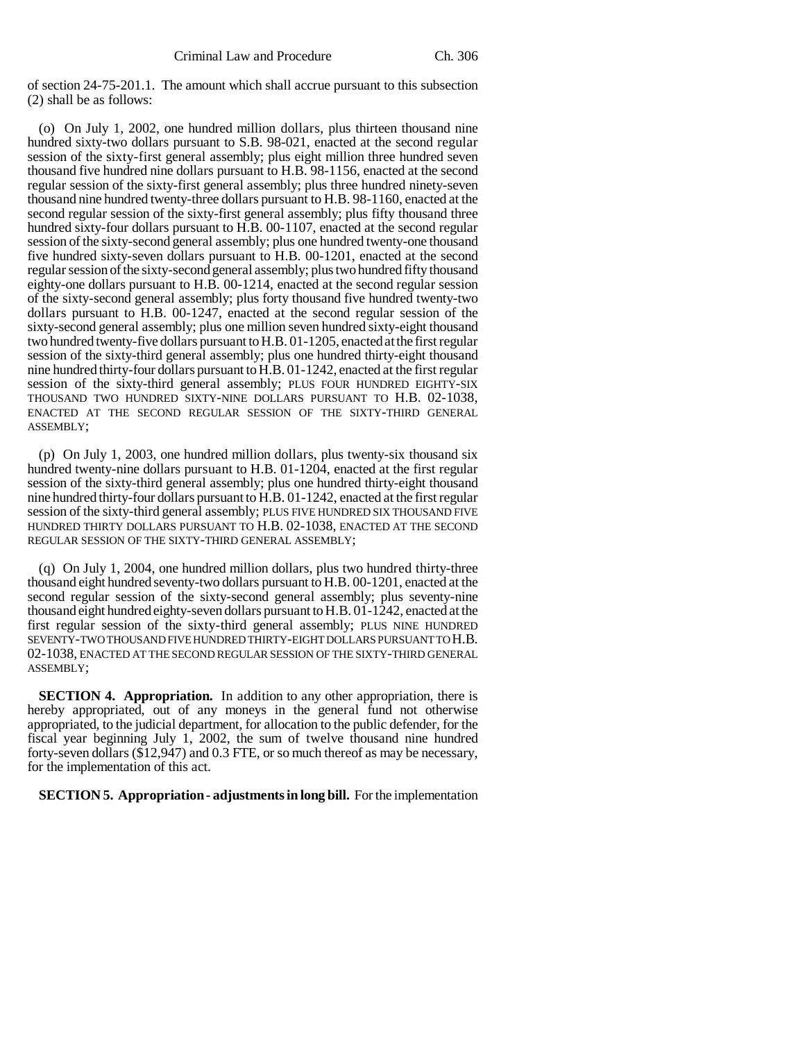of section 24-75-201.1. The amount which shall accrue pursuant to this subsection (2) shall be as follows:

(o) On July 1, 2002, one hundred million dollars, plus thirteen thousand nine hundred sixty-two dollars pursuant to S.B. 98-021, enacted at the second regular session of the sixty-first general assembly; plus eight million three hundred seven thousand five hundred nine dollars pursuant to H.B. 98-1156, enacted at the second regular session of the sixty-first general assembly; plus three hundred ninety-seven thousand nine hundred twenty-three dollars pursuant to H.B. 98-1160, enacted at the second regular session of the sixty-first general assembly; plus fifty thousand three hundred sixty-four dollars pursuant to H.B. 00-1107, enacted at the second regular session of the sixty-second general assembly; plus one hundred twenty-one thousand five hundred sixty-seven dollars pursuant to H.B. 00-1201, enacted at the second regular session of the sixty-second general assembly; plus two hundred fifty thousand eighty-one dollars pursuant to H.B. 00-1214, enacted at the second regular session of the sixty-second general assembly; plus forty thousand five hundred twenty-two dollars pursuant to H.B. 00-1247, enacted at the second regular session of the sixty-second general assembly; plus one million seven hundred sixty-eight thousand two hundred twenty-five dollars pursuant to H.B. 01-1205, enacted at the first regular session of the sixty-third general assembly; plus one hundred thirty-eight thousand nine hundred thirty-four dollars pursuant to H.B. 01-1242, enacted at the first regular session of the sixty-third general assembly; PLUS FOUR HUNDRED EIGHTY-SIX THOUSAND TWO HUNDRED SIXTY-NINE DOLLARS PURSUANT TO H.B. 02-1038, ENACTED AT THE SECOND REGULAR SESSION OF THE SIXTY-THIRD GENERAL ASSEMBLY;

(p) On July 1, 2003, one hundred million dollars, plus twenty-six thousand six hundred twenty-nine dollars pursuant to H.B. 01-1204, enacted at the first regular session of the sixty-third general assembly; plus one hundred thirty-eight thousand nine hundred thirty-four dollars pursuant to H.B. 01-1242, enacted at the first regular session of the sixty-third general assembly; PLUS FIVE HUNDRED SIX THOUSAND FIVE HUNDRED THIRTY DOLLARS PURSUANT TO H.B. 02-1038, ENACTED AT THE SECOND REGULAR SESSION OF THE SIXTY-THIRD GENERAL ASSEMBLY;

(q) On July 1, 2004, one hundred million dollars, plus two hundred thirty-three thousand eight hundred seventy-two dollars pursuant to H.B. 00-1201, enacted at the second regular session of the sixty-second general assembly; plus seventy-nine thousand eight hundred eighty-seven dollars pursuant to H.B. 01-1242, enacted at the first regular session of the sixty-third general assembly; PLUS NINE HUNDRED SEVENTY-TWO THOUSAND FIVE HUNDRED THIRTY-EIGHT DOLLARS PURSUANT TO H.B. 02-1038, ENACTED AT THE SECOND REGULAR SESSION OF THE SIXTY-THIRD GENERAL ASSEMBLY;

**SECTION 4. Appropriation.** In addition to any other appropriation, there is hereby appropriated, out of any moneys in the general fund not otherwise appropriated, to the judicial department, for allocation to the public defender, for the fiscal year beginning July 1, 2002, the sum of twelve thousand nine hundred forty-seven dollars (\$12,947) and 0.3 FTE, or so much thereof as may be necessary, for the implementation of this act.

**SECTION 5. Appropriation - adjustments in long bill.** For the implementation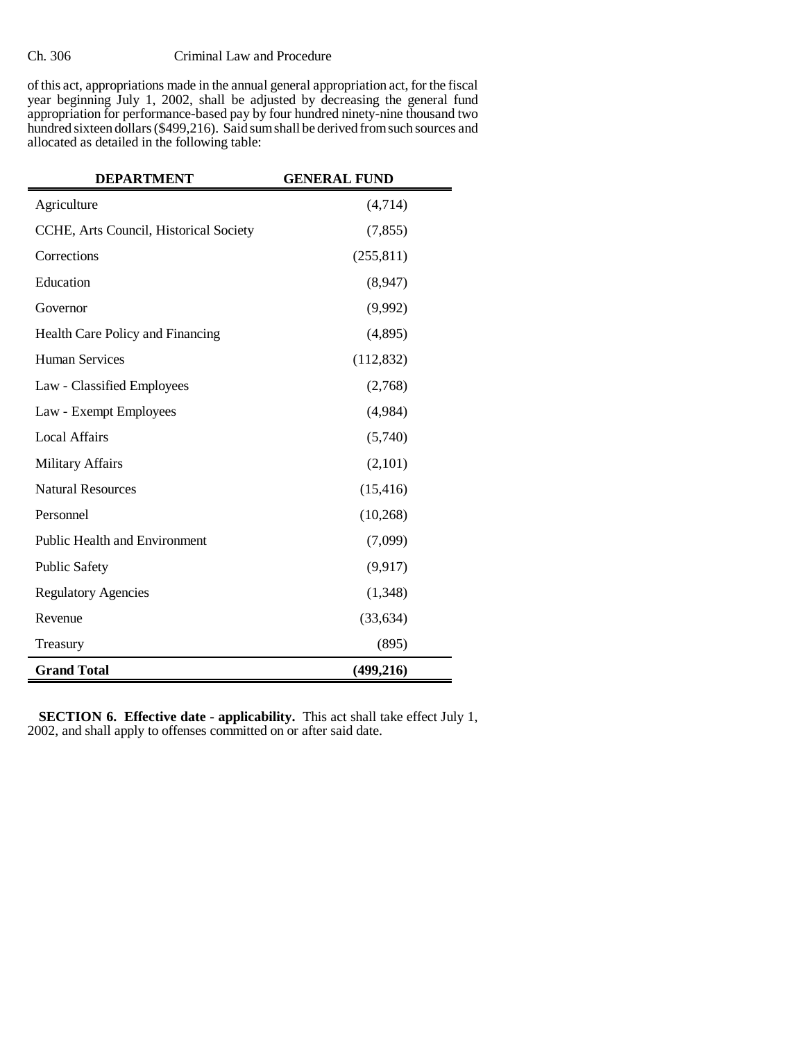### Ch. 306 Criminal Law and Procedure

of this act, appropriations made in the annual general appropriation act, for the fiscal year beginning July 1, 2002, shall be adjusted by decreasing the general fund appropriation for performance-based pay by four hundred ninety-nine thousand two hundred sixteen dollars (\$499,216). Said sum shall be derived from such sources and allocated as detailed in the following table:

| <b>DEPARTMENT</b>                      | <b>GENERAL FUND</b> |
|----------------------------------------|---------------------|
| Agriculture                            | (4, 714)            |
| CCHE, Arts Council, Historical Society | (7, 855)            |
| Corrections                            | (255, 811)          |
| Education                              | (8,947)             |
| Governor                               | (9,992)             |
| Health Care Policy and Financing       | (4,895)             |
| <b>Human Services</b>                  | (112, 832)          |
| Law - Classified Employees             | (2,768)             |
| Law - Exempt Employees                 | (4,984)             |
| <b>Local Affairs</b>                   | (5,740)             |
| <b>Military Affairs</b>                | (2,101)             |
| <b>Natural Resources</b>               | (15, 416)           |
| Personnel                              | (10, 268)           |
| <b>Public Health and Environment</b>   | (7,099)             |
| <b>Public Safety</b>                   | (9, 917)            |
| <b>Regulatory Agencies</b>             | (1,348)             |
| Revenue                                | (33, 634)           |
| Treasury                               | (895)               |
| <b>Grand Total</b>                     | (499, 216)          |

**SECTION 6. Effective date - applicability.** This act shall take effect July 1, 2002, and shall apply to offenses committed on or after said date.